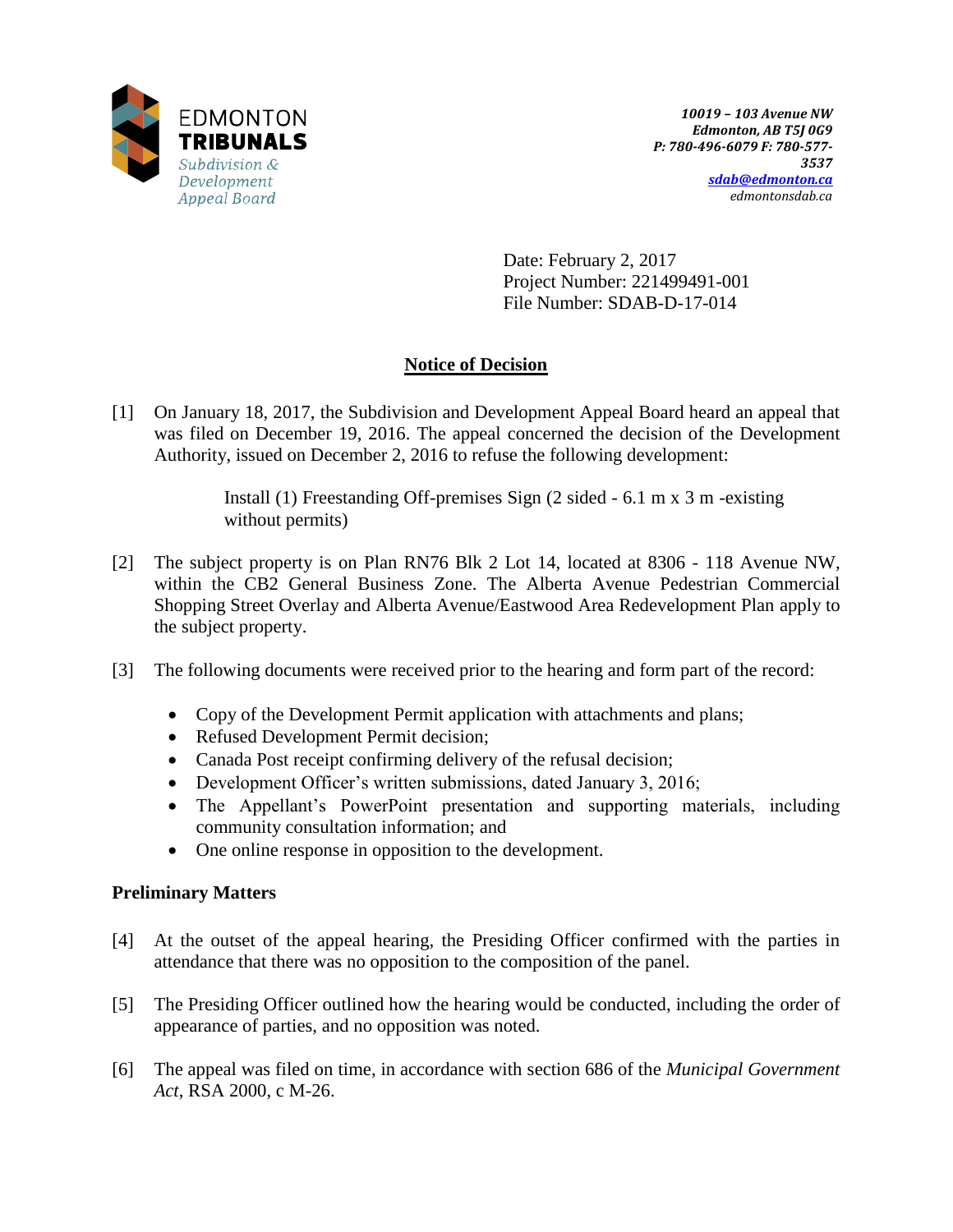

Date: February 2, 2017 Project Number: 221499491-001 File Number: SDAB-D-17-014

# **Notice of Decision**

[1] On January 18, 2017, the Subdivision and Development Appeal Board heard an appeal that was filed on December 19, 2016. The appeal concerned the decision of the Development Authority, issued on December 2, 2016 to refuse the following development:

> Install (1) Freestanding Off-premises Sign (2 sided - 6.1 m x 3 m -existing without permits)

- [2] The subject property is on Plan RN76 Blk 2 Lot 14, located at 8306 118 Avenue NW, within the CB2 General Business Zone. The Alberta Avenue Pedestrian Commercial Shopping Street Overlay and Alberta Avenue/Eastwood Area Redevelopment Plan apply to the subject property.
- [3] The following documents were received prior to the hearing and form part of the record:
	- Copy of the Development Permit application with attachments and plans;
	- Refused Development Permit decision;
	- Canada Post receipt confirming delivery of the refusal decision;
	- Development Officer's written submissions, dated January 3, 2016;
	- The Appellant's PowerPoint presentation and supporting materials, including community consultation information; and
	- One online response in opposition to the development.

# **Preliminary Matters**

- [4] At the outset of the appeal hearing, the Presiding Officer confirmed with the parties in attendance that there was no opposition to the composition of the panel.
- [5] The Presiding Officer outlined how the hearing would be conducted, including the order of appearance of parties, and no opposition was noted.
- [6] The appeal was filed on time, in accordance with section 686 of the *Municipal Government Act*, RSA 2000, c M-26.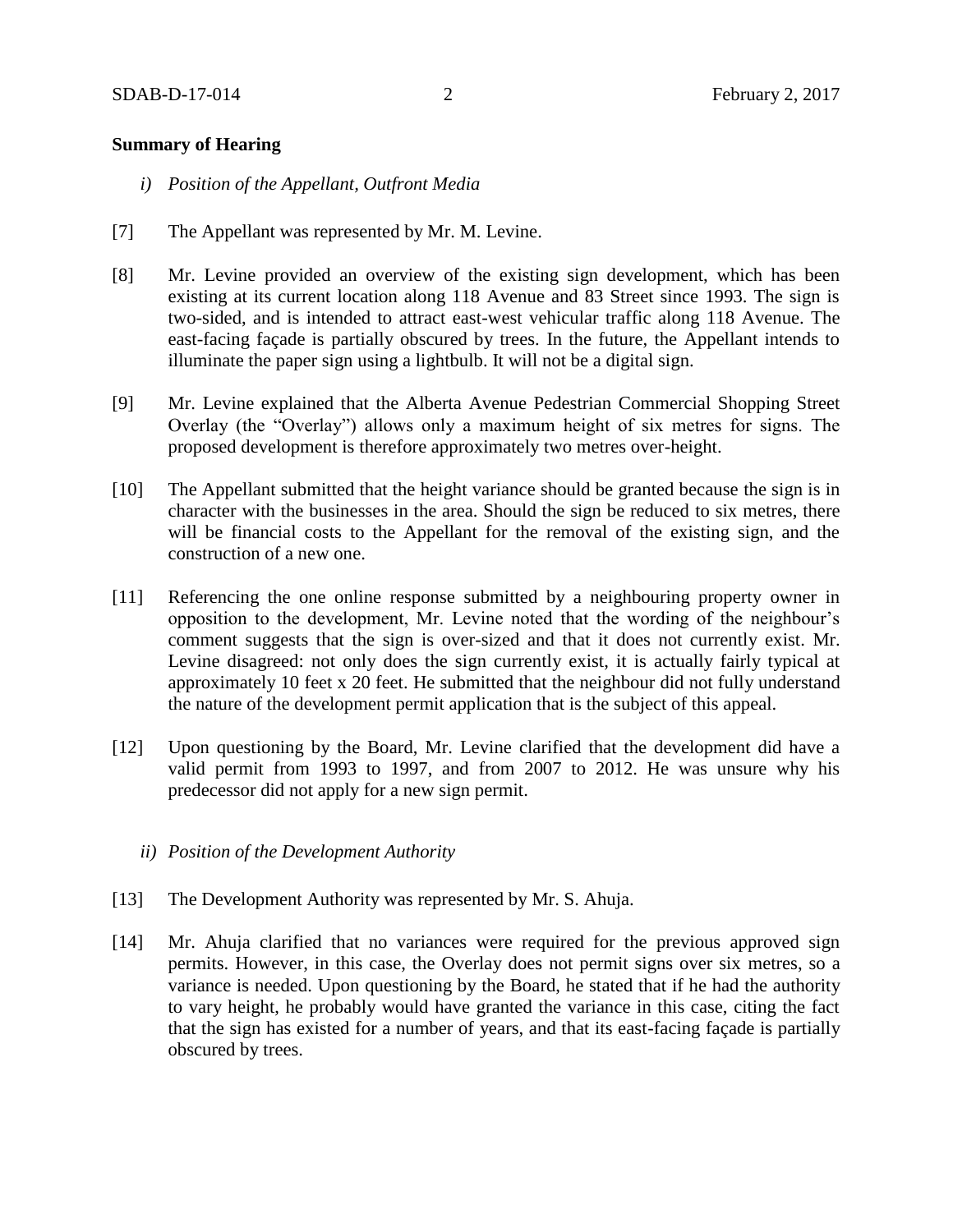### **Summary of Hearing**

- *i) Position of the Appellant, Outfront Media*
- [7] The Appellant was represented by Mr. M. Levine.
- [8] Mr. Levine provided an overview of the existing sign development, which has been existing at its current location along 118 Avenue and 83 Street since 1993. The sign is two-sided, and is intended to attract east-west vehicular traffic along 118 Avenue. The east-facing façade is partially obscured by trees. In the future, the Appellant intends to illuminate the paper sign using a lightbulb. It will not be a digital sign.
- [9] Mr. Levine explained that the Alberta Avenue Pedestrian Commercial Shopping Street Overlay (the "Overlay") allows only a maximum height of six metres for signs. The proposed development is therefore approximately two metres over-height.
- [10] The Appellant submitted that the height variance should be granted because the sign is in character with the businesses in the area. Should the sign be reduced to six metres, there will be financial costs to the Appellant for the removal of the existing sign, and the construction of a new one.
- [11] Referencing the one online response submitted by a neighbouring property owner in opposition to the development, Mr. Levine noted that the wording of the neighbour's comment suggests that the sign is over-sized and that it does not currently exist. Mr. Levine disagreed: not only does the sign currently exist, it is actually fairly typical at approximately 10 feet x 20 feet. He submitted that the neighbour did not fully understand the nature of the development permit application that is the subject of this appeal.
- [12] Upon questioning by the Board, Mr. Levine clarified that the development did have a valid permit from 1993 to 1997, and from 2007 to 2012. He was unsure why his predecessor did not apply for a new sign permit.
	- *ii) Position of the Development Authority*
- [13] The Development Authority was represented by Mr. S. Ahuja.
- [14] Mr. Ahuja clarified that no variances were required for the previous approved sign permits. However, in this case, the Overlay does not permit signs over six metres, so a variance is needed. Upon questioning by the Board, he stated that if he had the authority to vary height, he probably would have granted the variance in this case, citing the fact that the sign has existed for a number of years, and that its east-facing façade is partially obscured by trees.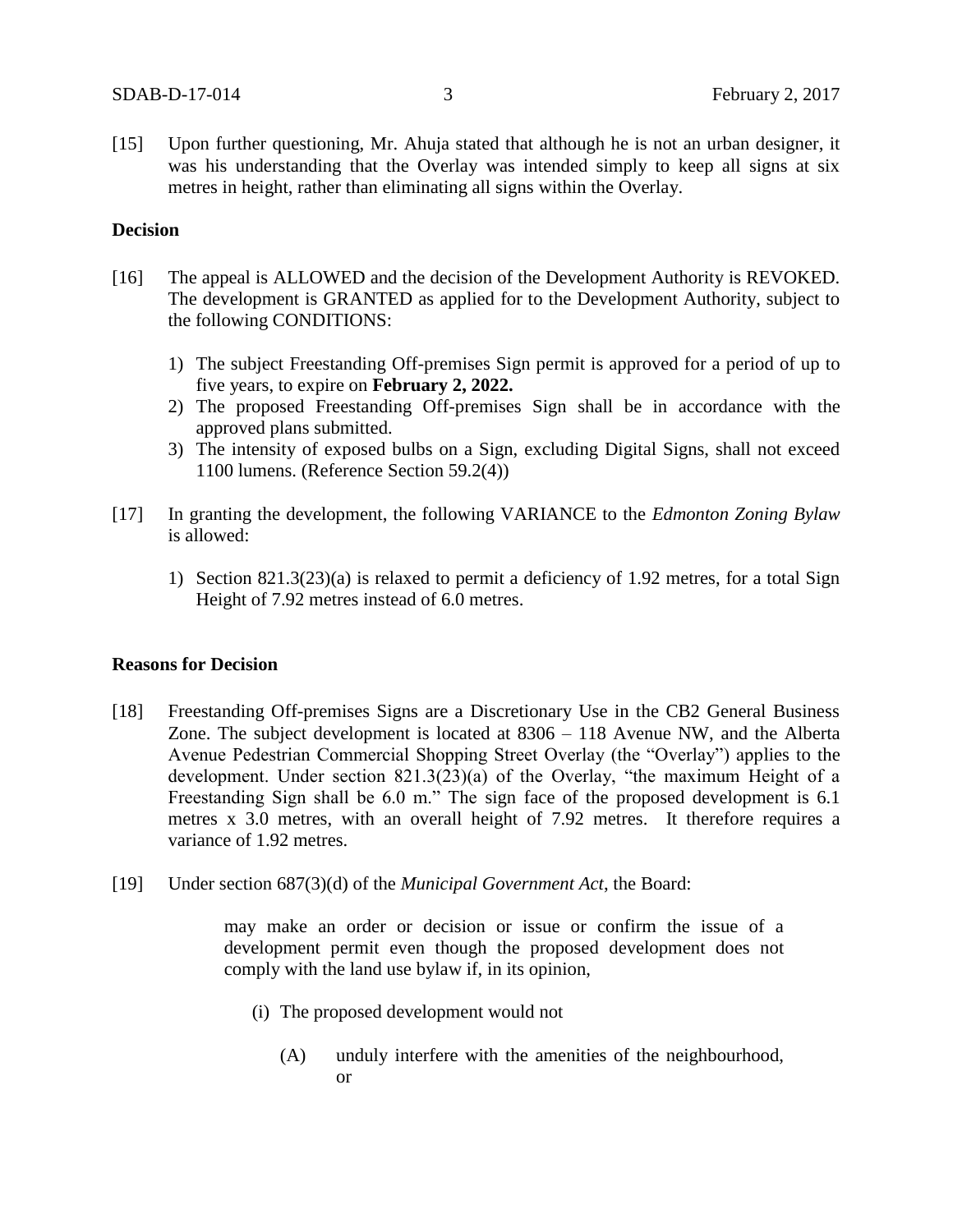[15] Upon further questioning, Mr. Ahuja stated that although he is not an urban designer, it was his understanding that the Overlay was intended simply to keep all signs at six metres in height, rather than eliminating all signs within the Overlay.

### **Decision**

- [16] The appeal is ALLOWED and the decision of the Development Authority is REVOKED. The development is GRANTED as applied for to the Development Authority, subject to the following CONDITIONS:
	- 1) The subject Freestanding Off-premises Sign permit is approved for a period of up to five years, to expire on **February 2, 2022.**
	- 2) The proposed Freestanding Off-premises Sign shall be in accordance with the approved plans submitted.
	- 3) The intensity of exposed bulbs on a Sign, excluding Digital Signs, shall not exceed 1100 lumens. (Reference Section 59.2(4))
- [17] In granting the development, the following VARIANCE to the *Edmonton Zoning Bylaw* is allowed:
	- 1) Section  $821.3(23)(a)$  is relaxed to permit a deficiency of 1.92 metres, for a total Sign Height of 7.92 metres instead of 6.0 metres.

#### **Reasons for Decision**

- [18] Freestanding Off-premises Signs are a Discretionary Use in the CB2 General Business Zone. The subject development is located at 8306 – 118 Avenue NW, and the Alberta Avenue Pedestrian Commercial Shopping Street Overlay (the "Overlay") applies to the development. Under section 821.3(23)(a) of the Overlay, "the maximum Height of a Freestanding Sign shall be 6.0 m." The sign face of the proposed development is 6.1 metres x 3.0 metres, with an overall height of 7.92 metres. It therefore requires a variance of 1.92 metres.
- [19] Under section 687(3)(d) of the *Municipal Government Act*, the Board:

may make an order or decision or issue or confirm the issue of a development permit even though the proposed development does not comply with the land use bylaw if, in its opinion,

- (i) The proposed development would not
	- (A) unduly interfere with the amenities of the neighbourhood, or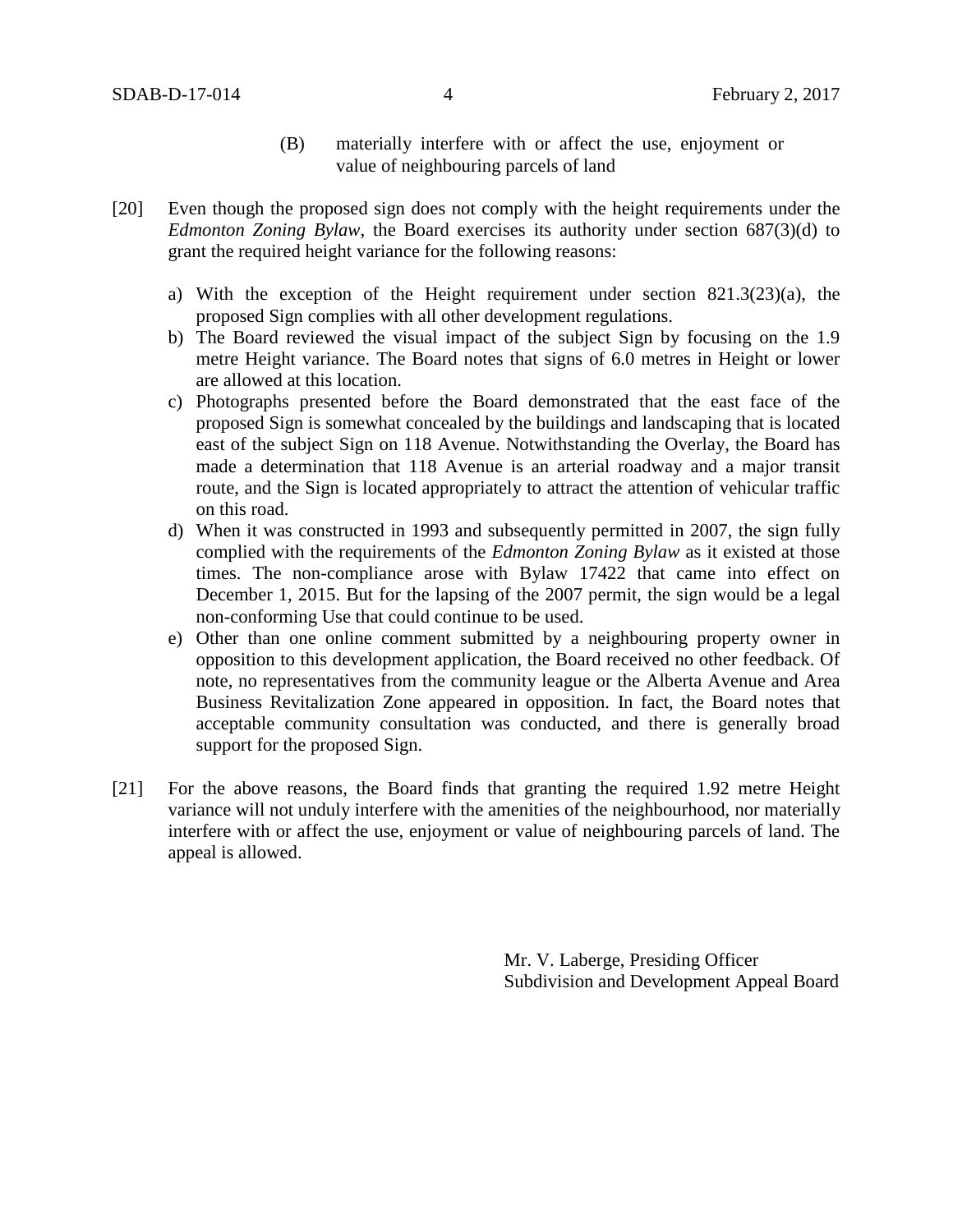- (B) materially interfere with or affect the use, enjoyment or value of neighbouring parcels of land
- [20] Even though the proposed sign does not comply with the height requirements under the *Edmonton Zoning Bylaw*, the Board exercises its authority under section 687(3)(d) to grant the required height variance for the following reasons:
	- a) With the exception of the Height requirement under section 821.3(23)(a), the proposed Sign complies with all other development regulations.
	- b) The Board reviewed the visual impact of the subject Sign by focusing on the 1.9 metre Height variance. The Board notes that signs of 6.0 metres in Height or lower are allowed at this location.
	- c) Photographs presented before the Board demonstrated that the east face of the proposed Sign is somewhat concealed by the buildings and landscaping that is located east of the subject Sign on 118 Avenue. Notwithstanding the Overlay, the Board has made a determination that 118 Avenue is an arterial roadway and a major transit route, and the Sign is located appropriately to attract the attention of vehicular traffic on this road.
	- d) When it was constructed in 1993 and subsequently permitted in 2007, the sign fully complied with the requirements of the *Edmonton Zoning Bylaw* as it existed at those times. The non-compliance arose with Bylaw 17422 that came into effect on December 1, 2015. But for the lapsing of the 2007 permit, the sign would be a legal non-conforming Use that could continue to be used.
	- e) Other than one online comment submitted by a neighbouring property owner in opposition to this development application, the Board received no other feedback. Of note, no representatives from the community league or the Alberta Avenue and Area Business Revitalization Zone appeared in opposition. In fact, the Board notes that acceptable community consultation was conducted, and there is generally broad support for the proposed Sign.
- [21] For the above reasons, the Board finds that granting the required 1.92 metre Height variance will not unduly interfere with the amenities of the neighbourhood, nor materially interfere with or affect the use, enjoyment or value of neighbouring parcels of land. The appeal is allowed.

Mr. V. Laberge, Presiding Officer Subdivision and Development Appeal Board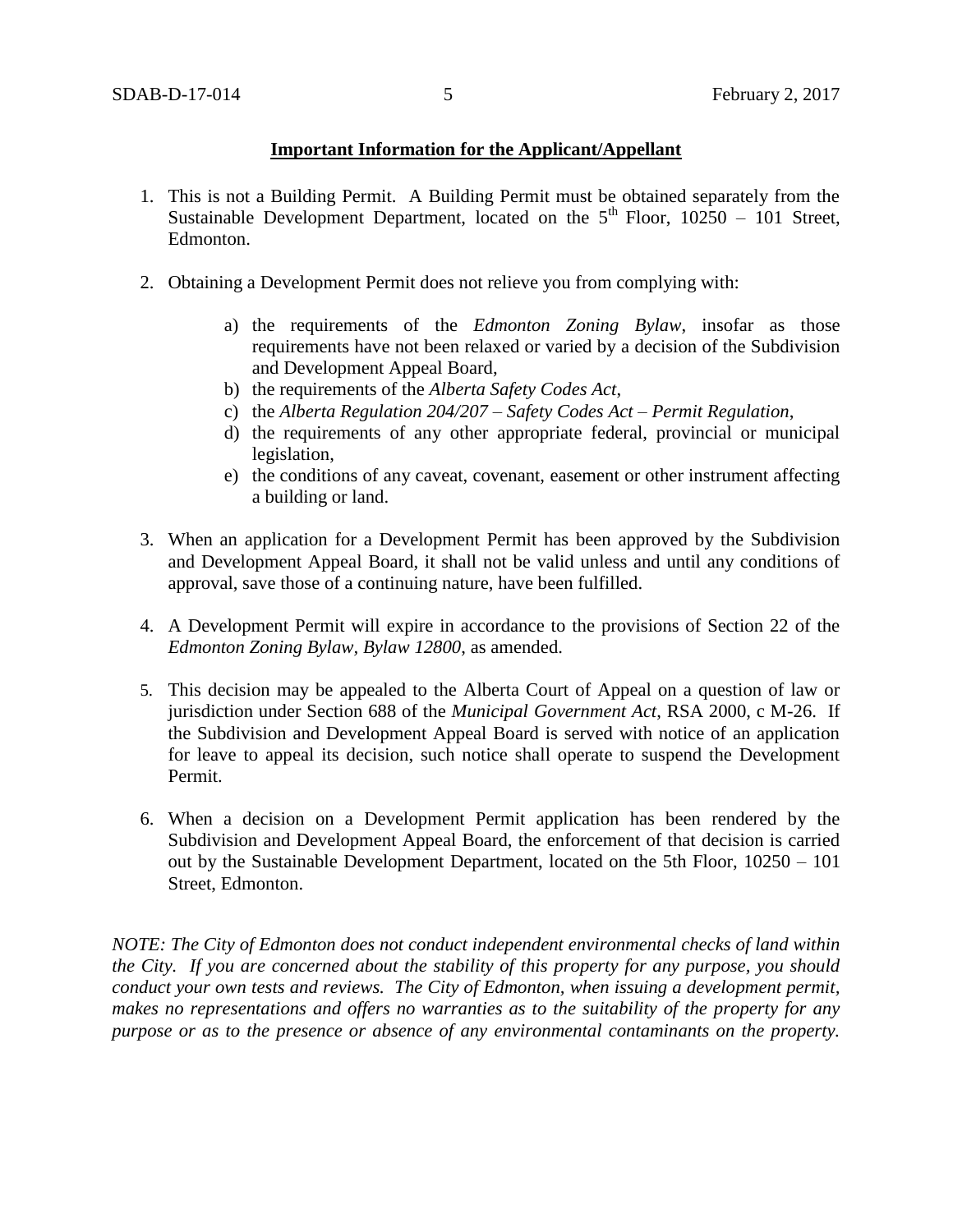### **Important Information for the Applicant/Appellant**

- 1. This is not a Building Permit. A Building Permit must be obtained separately from the Sustainable Development Department, located on the  $5<sup>th</sup>$  Floor, 10250 – 101 Street, Edmonton.
- 2. Obtaining a Development Permit does not relieve you from complying with:
	- a) the requirements of the *Edmonton Zoning Bylaw*, insofar as those requirements have not been relaxed or varied by a decision of the Subdivision and Development Appeal Board,
	- b) the requirements of the *Alberta Safety Codes Act*,
	- c) the *Alberta Regulation 204/207 – Safety Codes Act – Permit Regulation*,
	- d) the requirements of any other appropriate federal, provincial or municipal legislation,
	- e) the conditions of any caveat, covenant, easement or other instrument affecting a building or land.
- 3. When an application for a Development Permit has been approved by the Subdivision and Development Appeal Board, it shall not be valid unless and until any conditions of approval, save those of a continuing nature, have been fulfilled.
- 4. A Development Permit will expire in accordance to the provisions of Section 22 of the *Edmonton Zoning Bylaw, Bylaw 12800*, as amended.
- 5. This decision may be appealed to the Alberta Court of Appeal on a question of law or jurisdiction under Section 688 of the *Municipal Government Act*, RSA 2000, c M-26. If the Subdivision and Development Appeal Board is served with notice of an application for leave to appeal its decision, such notice shall operate to suspend the Development Permit.
- 6. When a decision on a Development Permit application has been rendered by the Subdivision and Development Appeal Board, the enforcement of that decision is carried out by the Sustainable Development Department, located on the 5th Floor, 10250 – 101 Street, Edmonton.

*NOTE: The City of Edmonton does not conduct independent environmental checks of land within the City. If you are concerned about the stability of this property for any purpose, you should conduct your own tests and reviews. The City of Edmonton, when issuing a development permit, makes no representations and offers no warranties as to the suitability of the property for any purpose or as to the presence or absence of any environmental contaminants on the property.*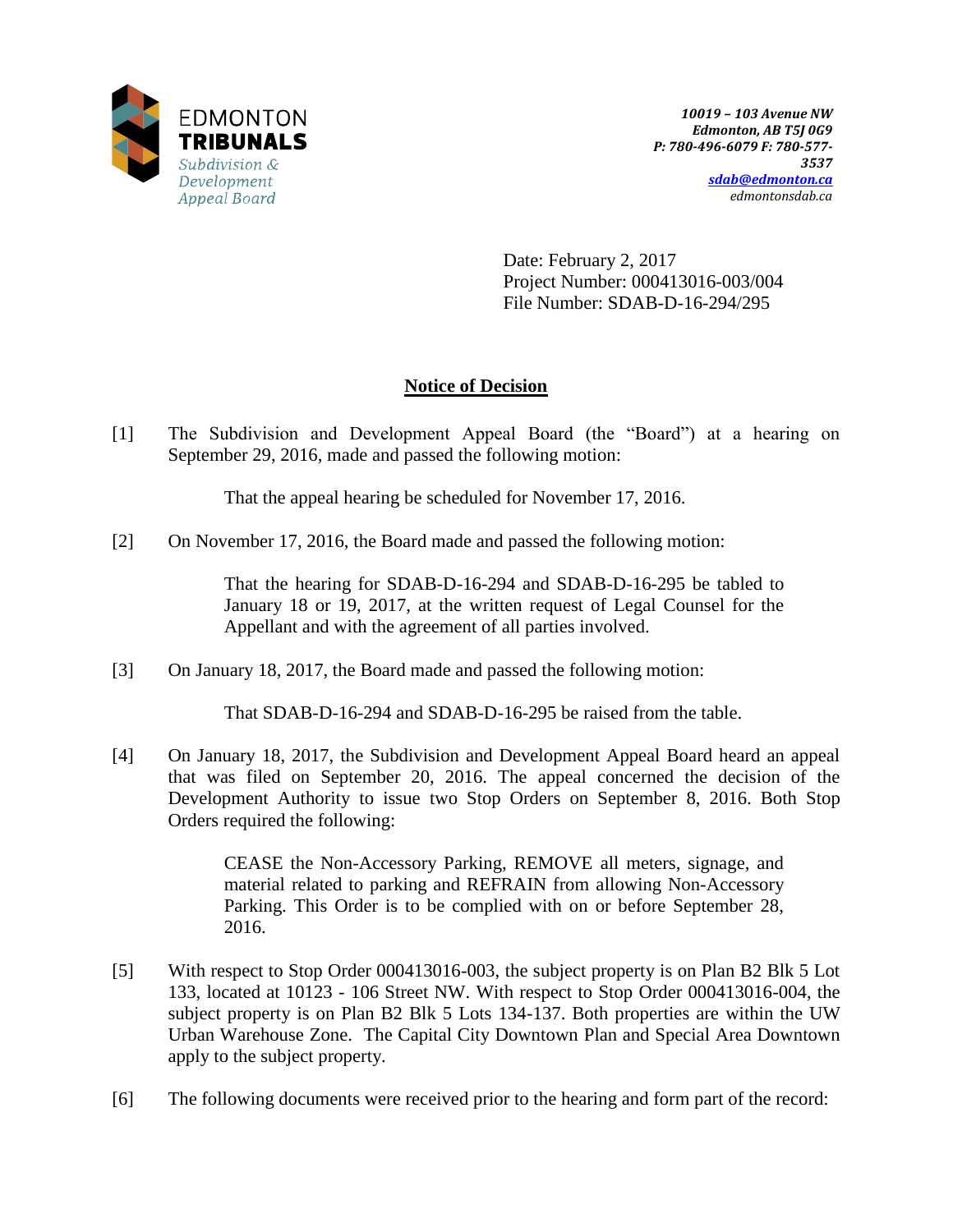

Date: February 2, 2017 Project Number: 000413016-003/004 File Number: SDAB-D-16-294/295

# **Notice of Decision**

[1] The Subdivision and Development Appeal Board (the "Board") at a hearing on September 29, 2016, made and passed the following motion:

That the appeal hearing be scheduled for November 17, 2016.

[2] On November 17, 2016, the Board made and passed the following motion:

That the hearing for SDAB-D-16-294 and SDAB-D-16-295 be tabled to January 18 or 19, 2017, at the written request of Legal Counsel for the Appellant and with the agreement of all parties involved.

[3] On January 18, 2017, the Board made and passed the following motion:

That SDAB-D-16-294 and SDAB-D-16-295 be raised from the table.

[4] On January 18, 2017, the Subdivision and Development Appeal Board heard an appeal that was filed on September 20, 2016. The appeal concerned the decision of the Development Authority to issue two Stop Orders on September 8, 2016. Both Stop Orders required the following:

> CEASE the Non-Accessory Parking, REMOVE all meters, signage, and material related to parking and REFRAIN from allowing Non-Accessory Parking. This Order is to be complied with on or before September 28, 2016.

- [5] With respect to Stop Order 000413016-003, the subject property is on Plan B2 Blk 5 Lot 133, located at 10123 - 106 Street NW. With respect to Stop Order 000413016-004, the subject property is on Plan B2 Blk 5 Lots 134-137. Both properties are within the UW Urban Warehouse Zone. The Capital City Downtown Plan and Special Area Downtown apply to the subject property.
- [6] The following documents were received prior to the hearing and form part of the record: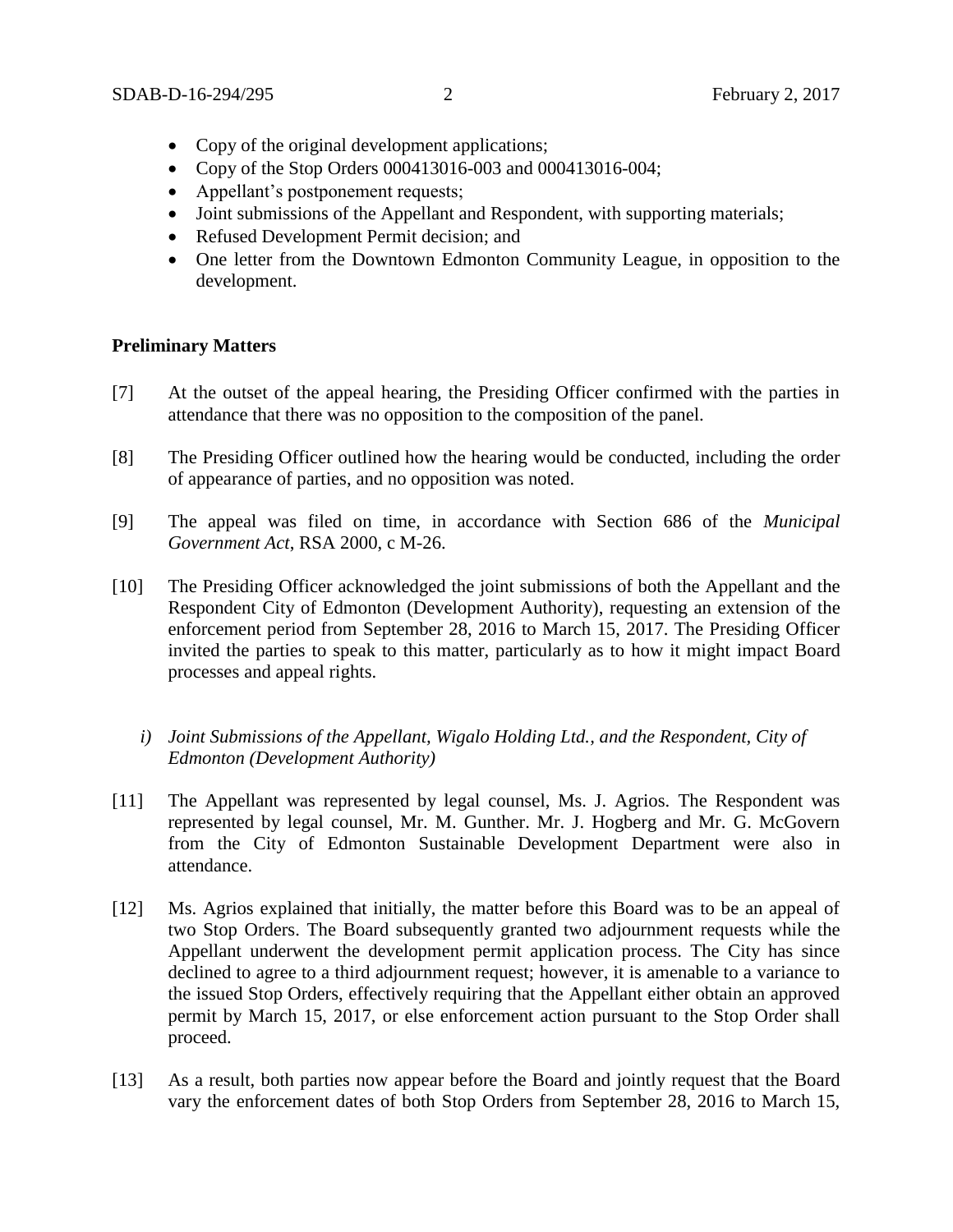- Copy of the original development applications;
- Copy of the Stop Orders 000413016-003 and 000413016-004;
- Appellant's postponement requests;
- Joint submissions of the Appellant and Respondent, with supporting materials;
- Refused Development Permit decision; and
- One letter from the Downtown Edmonton Community League, in opposition to the development.

### **Preliminary Matters**

- [7] At the outset of the appeal hearing, the Presiding Officer confirmed with the parties in attendance that there was no opposition to the composition of the panel.
- [8] The Presiding Officer outlined how the hearing would be conducted, including the order of appearance of parties, and no opposition was noted.
- [9] The appeal was filed on time, in accordance with Section 686 of the *Municipal Government Act*, RSA 2000, c M-26.
- [10] The Presiding Officer acknowledged the joint submissions of both the Appellant and the Respondent City of Edmonton (Development Authority), requesting an extension of the enforcement period from September 28, 2016 to March 15, 2017. The Presiding Officer invited the parties to speak to this matter, particularly as to how it might impact Board processes and appeal rights.
	- *i) Joint Submissions of the Appellant, Wigalo Holding Ltd., and the Respondent, City of Edmonton (Development Authority)*
- [11] The Appellant was represented by legal counsel, Ms. J. Agrios. The Respondent was represented by legal counsel, Mr. M. Gunther. Mr. J. Hogberg and Mr. G. McGovern from the City of Edmonton Sustainable Development Department were also in attendance.
- [12] Ms. Agrios explained that initially, the matter before this Board was to be an appeal of two Stop Orders. The Board subsequently granted two adjournment requests while the Appellant underwent the development permit application process. The City has since declined to agree to a third adjournment request; however, it is amenable to a variance to the issued Stop Orders, effectively requiring that the Appellant either obtain an approved permit by March 15, 2017, or else enforcement action pursuant to the Stop Order shall proceed.
- [13] As a result, both parties now appear before the Board and jointly request that the Board vary the enforcement dates of both Stop Orders from September 28, 2016 to March 15,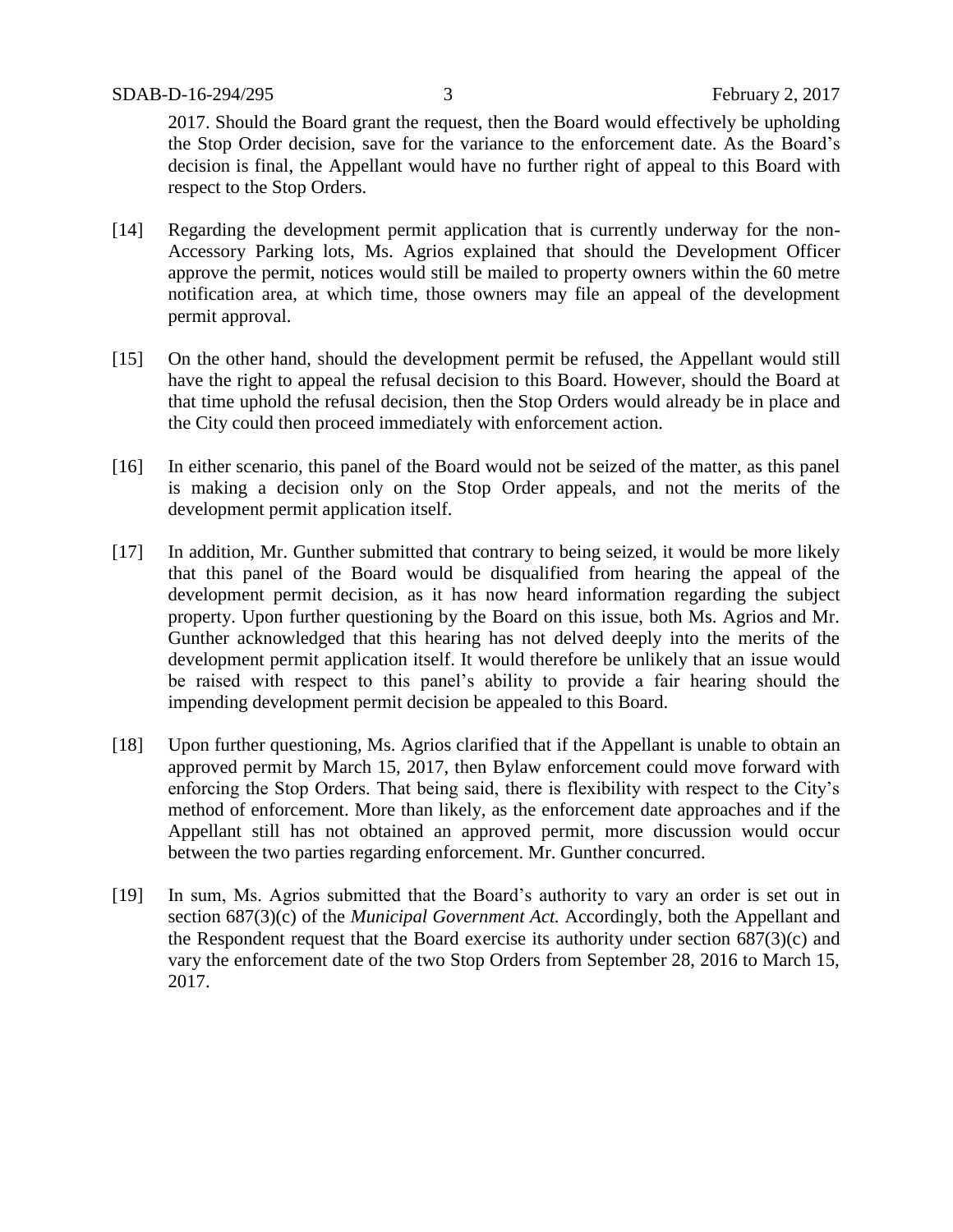2017. Should the Board grant the request, then the Board would effectively be upholding the Stop Order decision, save for the variance to the enforcement date. As the Board's decision is final, the Appellant would have no further right of appeal to this Board with respect to the Stop Orders.

- [14] Regarding the development permit application that is currently underway for the non-Accessory Parking lots, Ms. Agrios explained that should the Development Officer approve the permit, notices would still be mailed to property owners within the 60 metre notification area, at which time, those owners may file an appeal of the development permit approval.
- [15] On the other hand, should the development permit be refused, the Appellant would still have the right to appeal the refusal decision to this Board. However, should the Board at that time uphold the refusal decision, then the Stop Orders would already be in place and the City could then proceed immediately with enforcement action.
- [16] In either scenario, this panel of the Board would not be seized of the matter, as this panel is making a decision only on the Stop Order appeals, and not the merits of the development permit application itself.
- [17] In addition, Mr. Gunther submitted that contrary to being seized, it would be more likely that this panel of the Board would be disqualified from hearing the appeal of the development permit decision, as it has now heard information regarding the subject property. Upon further questioning by the Board on this issue, both Ms. Agrios and Mr. Gunther acknowledged that this hearing has not delved deeply into the merits of the development permit application itself. It would therefore be unlikely that an issue would be raised with respect to this panel's ability to provide a fair hearing should the impending development permit decision be appealed to this Board.
- [18] Upon further questioning, Ms. Agrios clarified that if the Appellant is unable to obtain an approved permit by March 15, 2017, then Bylaw enforcement could move forward with enforcing the Stop Orders. That being said, there is flexibility with respect to the City's method of enforcement. More than likely, as the enforcement date approaches and if the Appellant still has not obtained an approved permit, more discussion would occur between the two parties regarding enforcement. Mr. Gunther concurred.
- [19] In sum, Ms. Agrios submitted that the Board's authority to vary an order is set out in section 687(3)(c) of the *Municipal Government Act.* Accordingly, both the Appellant and the Respondent request that the Board exercise its authority under section 687(3)(c) and vary the enforcement date of the two Stop Orders from September 28, 2016 to March 15, 2017.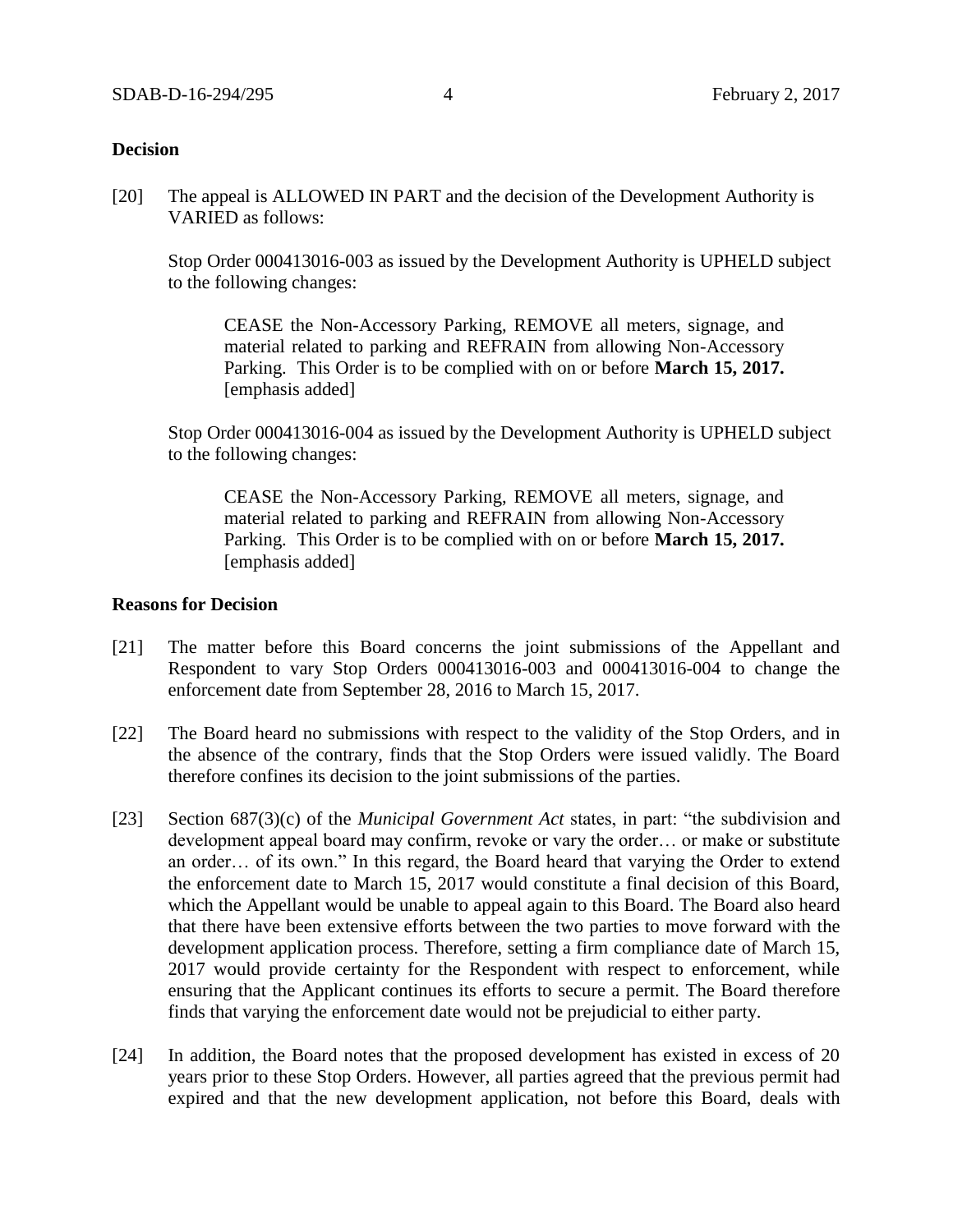### **Decision**

[20] The appeal is ALLOWED IN PART and the decision of the Development Authority is VARIED as follows:

Stop Order 000413016-003 as issued by the Development Authority is UPHELD subject to the following changes:

CEASE the Non-Accessory Parking, REMOVE all meters, signage, and material related to parking and REFRAIN from allowing Non-Accessory Parking. This Order is to be complied with on or before **March 15, 2017.** [emphasis added]

Stop Order 000413016-004 as issued by the Development Authority is UPHELD subject to the following changes:

CEASE the Non-Accessory Parking, REMOVE all meters, signage, and material related to parking and REFRAIN from allowing Non-Accessory Parking. This Order is to be complied with on or before **March 15, 2017.** [emphasis added]

#### **Reasons for Decision**

- [21] The matter before this Board concerns the joint submissions of the Appellant and Respondent to vary Stop Orders 000413016-003 and 000413016-004 to change the enforcement date from September 28, 2016 to March 15, 2017.
- [22] The Board heard no submissions with respect to the validity of the Stop Orders, and in the absence of the contrary, finds that the Stop Orders were issued validly. The Board therefore confines its decision to the joint submissions of the parties.
- [23] Section 687(3)(c) of the *Municipal Government Act* states, in part: "the subdivision and development appeal board may confirm, revoke or vary the order… or make or substitute an order… of its own." In this regard, the Board heard that varying the Order to extend the enforcement date to March 15, 2017 would constitute a final decision of this Board, which the Appellant would be unable to appeal again to this Board. The Board also heard that there have been extensive efforts between the two parties to move forward with the development application process. Therefore, setting a firm compliance date of March 15, 2017 would provide certainty for the Respondent with respect to enforcement, while ensuring that the Applicant continues its efforts to secure a permit. The Board therefore finds that varying the enforcement date would not be prejudicial to either party.
- [24] In addition, the Board notes that the proposed development has existed in excess of 20 years prior to these Stop Orders. However, all parties agreed that the previous permit had expired and that the new development application, not before this Board, deals with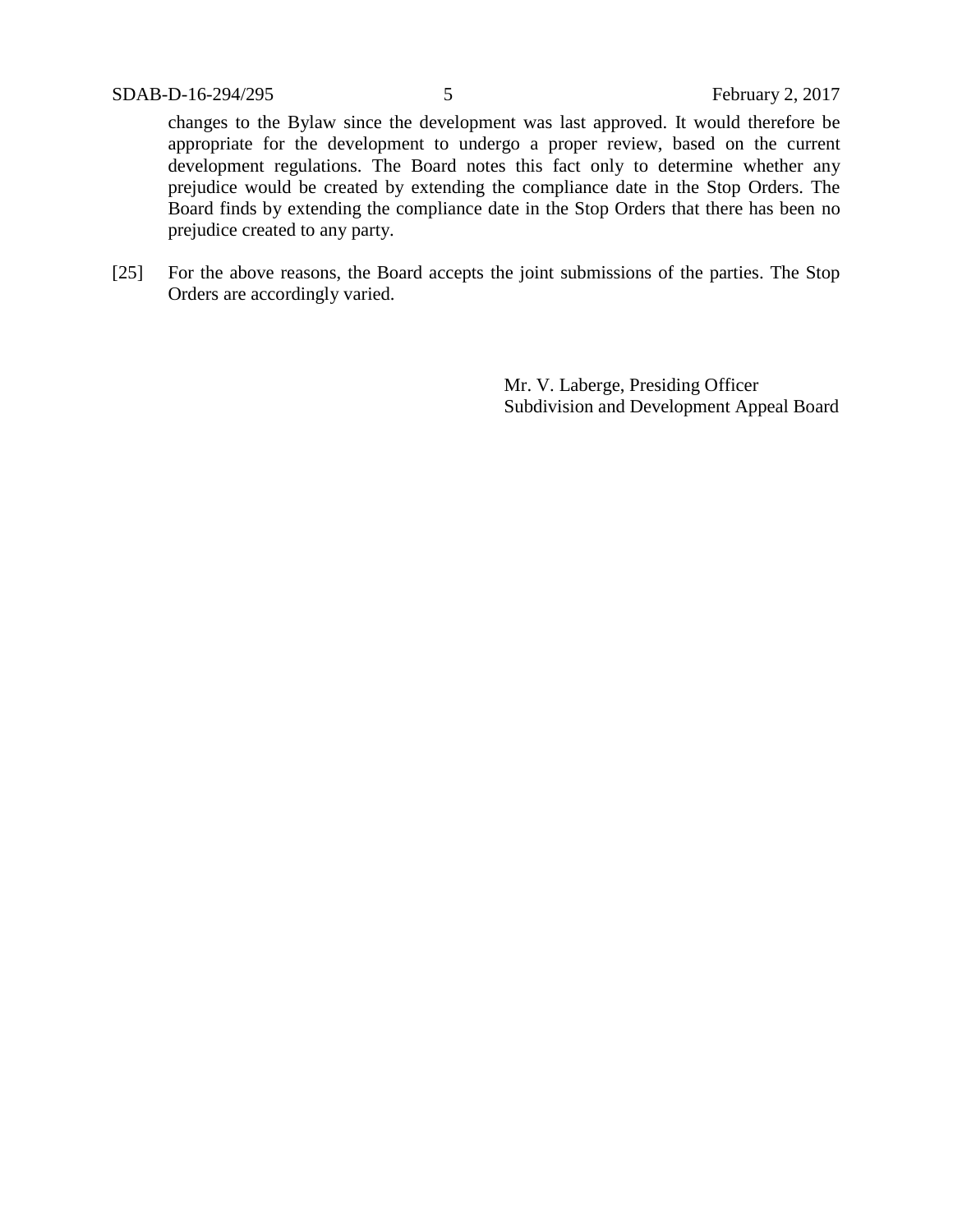changes to the Bylaw since the development was last approved. It would therefore be appropriate for the development to undergo a proper review, based on the current development regulations. The Board notes this fact only to determine whether any prejudice would be created by extending the compliance date in the Stop Orders. The Board finds by extending the compliance date in the Stop Orders that there has been no prejudice created to any party.

[25] For the above reasons, the Board accepts the joint submissions of the parties. The Stop Orders are accordingly varied.

> Mr. V. Laberge, Presiding Officer Subdivision and Development Appeal Board